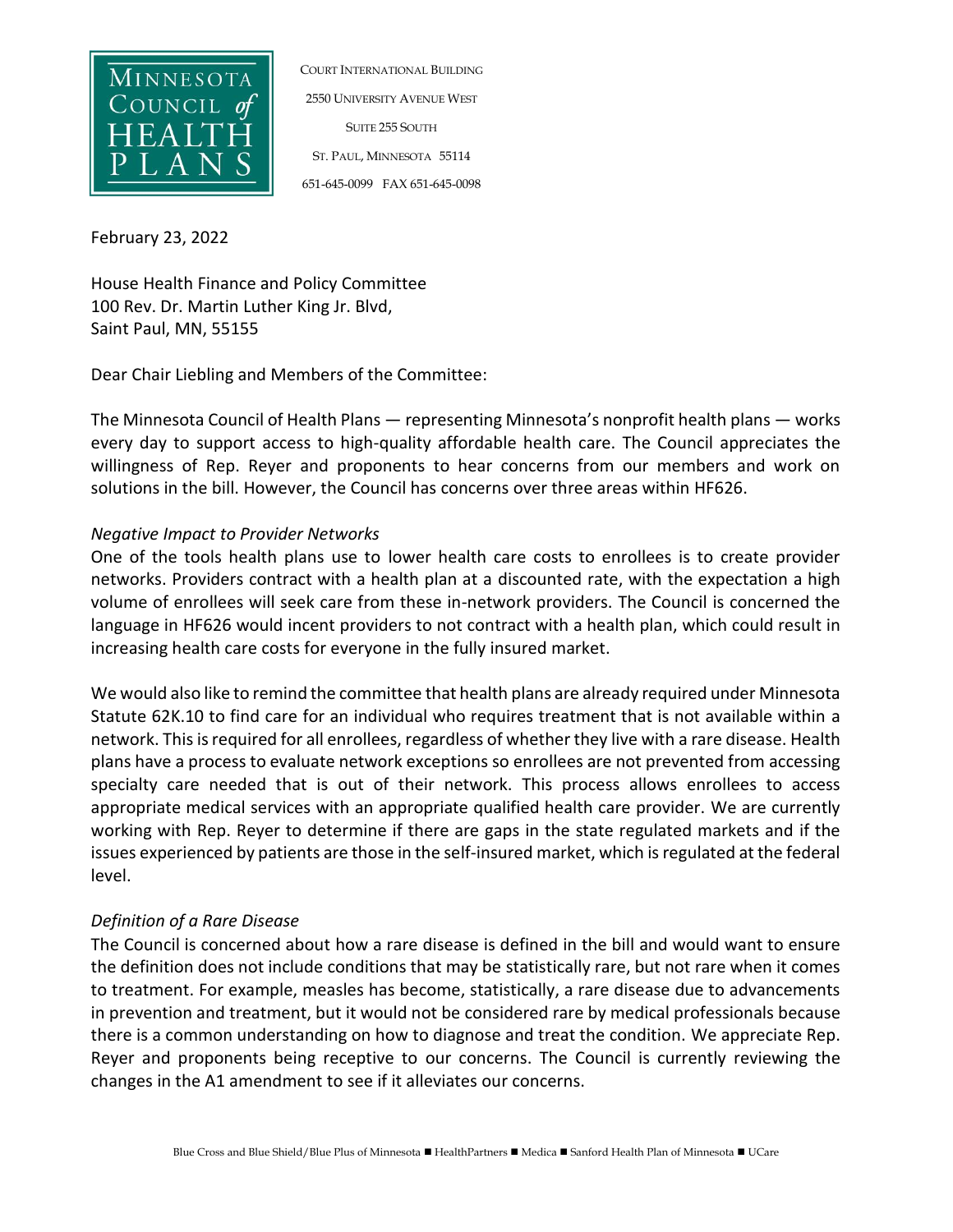

COURT INTERNATIONAL BUILDING 2550 UNIVERSITY AVENUE WEST SUITE 255 SOUTH ST. PAUL, MINNESOTA 55114 651-645-0099 FAX 651-645-0098

February 23, 2022

House Health Finance and Policy Committee 100 Rev. Dr. Martin Luther King Jr. Blvd, Saint Paul, MN, 55155

Dear Chair Liebling and Members of the Committee:

The Minnesota Council of Health Plans — representing Minnesota's nonprofit health plans — works every day to support access to high-quality affordable health care. The Council appreciates the willingness of Rep. Reyer and proponents to hear concerns from our members and work on solutions in the bill. However, the Council has concerns over three areas within HF626.

## *Negative Impact to Provider Networks*

One of the tools health plans use to lower health care costs to enrollees is to create provider networks. Providers contract with a health plan at a discounted rate, with the expectation a high volume of enrollees will seek care from these in-network providers. The Council is concerned the language in HF626 would incent providers to not contract with a health plan, which could result in increasing health care costs for everyone in the fully insured market.

We would also like to remind the committee that health plans are already required under Minnesota Statute 62K.10 to find care for an individual who requires treatment that is not available within a network. This is required for all enrollees, regardless of whether they live with a rare disease. Health plans have a process to evaluate network exceptions so enrollees are not prevented from accessing specialty care needed that is out of their network. This process allows enrollees to access appropriate medical services with an appropriate qualified health care provider. We are currently working with Rep. Reyer to determine if there are gaps in the state regulated markets and if the issues experienced by patients are those in the self-insured market, which is regulated at the federal level.

## *Definition of a Rare Disease*

The Council is concerned about how a rare disease is defined in the bill and would want to ensure the definition does not include conditions that may be statistically rare, but not rare when it comes to treatment. For example, measles has become, statistically, a rare disease due to advancements in prevention and treatment, but it would not be considered rare by medical professionals because there is a common understanding on how to diagnose and treat the condition. We appreciate Rep. Reyer and proponents being receptive to our concerns. The Council is currently reviewing the changes in the A1 amendment to see if it alleviates our concerns.